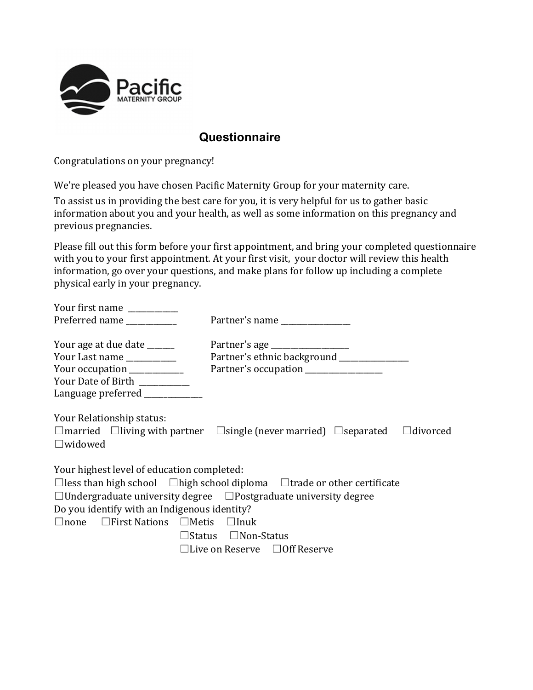

# **Questionnaire**

Congratulations on your pregnancy!

We're pleased you have chosen Pacific Maternity Group for your maternity care.

To assist us in providing the best care for you, it is very helpful for us to gather basic information about you and your health, as well as some information on this pregnancy and previous pregnancies.

Please fill out this form before your first appointment, and bring your completed questionnaire with you to your first appointment. At your first visit, your doctor will review this health information, go over your questions, and make plans for follow up including a complete physical early in your pregnancy.

| Your first name                                                                                                     |                                                                                                          |  |  |  |  |
|---------------------------------------------------------------------------------------------------------------------|----------------------------------------------------------------------------------------------------------|--|--|--|--|
| Preferred name                                                                                                      | Partner's name                                                                                           |  |  |  |  |
| Your age at due date _____<br>Your Last name _________<br>Your occupation _________<br>Your Date of Birth _________ | Partner's ethnic background ______________<br>Partner's occupation _______________                       |  |  |  |  |
| Language preferred ___________                                                                                      |                                                                                                          |  |  |  |  |
| Your Relationship status:<br>$\square$ widowed                                                                      | $\Box$ married $\Box$ living with partner $\Box$ single (never married) $\Box$ separated $\Box$ divorced |  |  |  |  |
| Your highest level of education completed:                                                                          |                                                                                                          |  |  |  |  |
|                                                                                                                     | $\Box$ less than high school $\Box$ high school diploma $\Box$ trade or other certificate                |  |  |  |  |
|                                                                                                                     | $\Box$ Undergraduate university degree $\Box$ Postgraduate university degree                             |  |  |  |  |
| Do you identify with an Indigenous identity?                                                                        |                                                                                                          |  |  |  |  |
| $\Box$ none $\Box$ First Nations $\Box$ Metis $\Box$ Inuk                                                           |                                                                                                          |  |  |  |  |
|                                                                                                                     | $\Box$ Status $\Box$ Non-Status                                                                          |  |  |  |  |
|                                                                                                                     | $\Box$ Live on Reserve $\Box$ Off Reserve                                                                |  |  |  |  |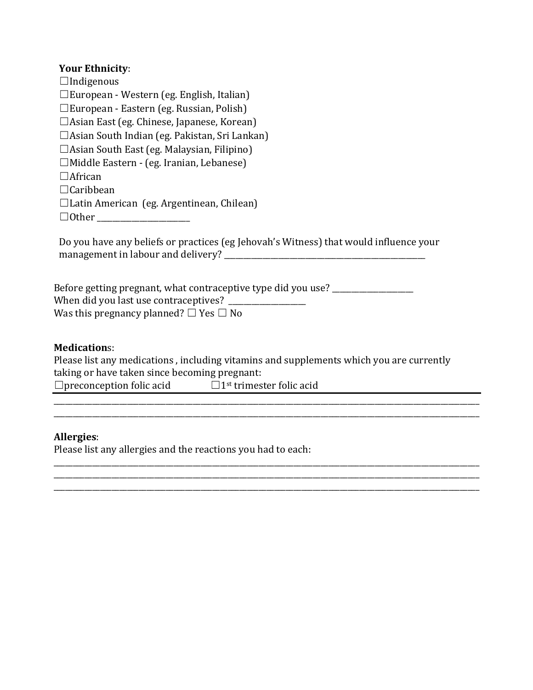## **Your Ethnicity:**

| $\Box$ Indigenous                                    |
|------------------------------------------------------|
| $\square$ European - Western (eg. English, Italian)  |
| $\square$ European - Eastern (eg. Russian, Polish)   |
| $\Box$ Asian East (eg. Chinese, Japanese, Korean)    |
| $\Box$ Asian South Indian (eg. Pakistan, Sri Lankan) |
| $\Box$ Asian South East (eg. Malaysian, Filipino)    |
| □Middle Eastern - (eg. Iranian, Lebanese)            |
| $\Box$ African                                       |
| $\Box$ Caribbean                                     |
| $\Box$ Latin American (eg. Argentinean, Chilean)     |
| $\Box$ Other                                         |

Do you have any beliefs or practices (eg Jehovah's Witness) that would influence your management in labour and delivery? \_\_\_\_\_\_\_\_\_\_\_\_\_\_\_\_\_\_\_\_\_\_\_\_\_\_\_\_\_\_\_\_\_\_\_\_\_\_\_\_\_\_\_\_\_\_\_\_\_\_\_\_

| Before getting pregnant, what contraceptive type did you use? |
|---------------------------------------------------------------|
| When did you last use contraceptives? _                       |
| Was this pregnancy planned? $\square$ Yes $\square$ No        |

### **Medication**s:

Please list any medications, including vitamins and supplements which you are currently taking or have taken since becoming pregnant:  $\Box$ preconception folic acid  $\Box$ 1st trimester folic acid

\_\_\_\_\_\_\_\_\_\_\_\_\_\_\_\_\_\_\_\_\_\_\_\_\_\_\_\_\_\_\_\_\_\_\_\_\_\_\_\_\_\_\_\_\_\_\_\_\_\_\_\_\_\_\_\_\_\_\_\_\_\_\_\_\_\_\_\_\_\_\_\_\_\_\_\_\_\_\_\_\_\_\_\_\_\_\_\_\_\_\_\_\_\_\_\_\_\_\_\_\_\_\_\_\_\_\_\_\_\_

\_\_\_\_\_\_\_\_\_\_\_\_\_\_\_\_\_\_\_\_\_\_\_\_\_\_\_\_\_\_\_\_\_\_\_\_\_\_\_\_\_\_\_\_\_\_\_\_\_\_\_\_\_\_\_\_\_\_\_\_\_\_\_\_\_\_\_\_\_\_\_\_\_\_\_\_\_\_\_\_\_\_\_\_\_\_\_\_\_\_\_\_\_\_\_\_\_\_\_\_\_\_\_\_\_\_\_\_\_\_ \_\_\_\_\_\_\_\_\_\_\_\_\_\_\_\_\_\_\_\_\_\_\_\_\_\_\_\_\_\_\_\_\_\_\_\_\_\_\_\_\_\_\_\_\_\_\_\_\_\_\_\_\_\_\_\_\_\_\_\_\_\_\_\_\_\_\_\_\_\_\_\_\_\_\_\_\_\_\_\_\_\_\_\_\_\_\_\_\_\_\_\_\_\_\_\_\_\_\_\_\_\_\_\_\_\_\_\_\_\_

\_\_\_\_\_\_\_\_\_\_\_\_\_\_\_\_\_\_\_\_\_\_\_\_\_\_\_\_\_\_\_\_\_\_\_\_\_\_\_\_\_\_\_\_\_\_\_\_\_\_\_\_\_\_\_\_\_\_\_\_\_\_\_\_\_\_\_\_\_\_\_\_\_\_\_\_\_\_\_\_\_\_\_\_\_\_\_\_\_\_\_\_\_\_\_\_\_\_\_\_\_\_\_\_\_\_\_\_\_\_

#### **Allergies**:

Please list any allergies and the reactions you had to each: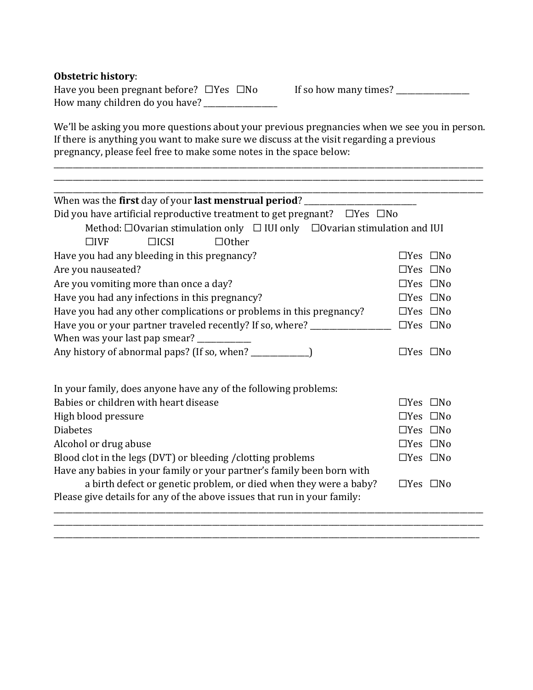## **Obstetric history:**

Have you been pregnant before? ☐Yes ☐No If so how many times? \_\_\_\_\_\_\_\_\_\_\_\_\_\_\_\_\_\_\_ How many children do you have?  $\frac{1}{2}$ 

We'll be asking you more questions about your previous pregnancies when we see you in person. If there is anything you want to make sure we discuss at the visit regarding a previous pregnancy, please feel free to make some notes in the space below:

\_\_\_\_\_\_\_\_\_\_\_\_\_\_\_\_\_\_\_\_\_\_\_\_\_\_\_\_\_\_\_\_\_\_\_\_\_\_\_\_\_\_\_\_\_\_\_\_\_\_\_\_\_\_\_\_\_\_\_\_\_\_\_\_\_\_\_\_\_\_\_\_\_\_\_\_\_\_\_\_\_\_\_\_\_\_\_\_\_\_\_\_\_\_\_\_\_\_\_\_\_\_\_\_\_\_\_\_\_\_\_ \_\_\_\_\_\_\_\_\_\_\_\_\_\_\_\_\_\_\_\_\_\_\_\_\_\_\_\_\_\_\_\_\_\_\_\_\_\_\_\_\_\_\_\_\_\_\_\_\_\_\_\_\_\_\_\_\_\_\_\_\_\_\_\_\_\_\_\_\_\_\_\_\_\_\_\_\_\_\_\_\_\_\_\_\_\_\_\_\_\_\_\_\_\_\_\_\_\_\_\_\_\_\_\_\_\_\_\_\_\_\_

| When was the first day of your last menstrual period? ______________                       |                      |  |  |  |
|--------------------------------------------------------------------------------------------|----------------------|--|--|--|
| Did you have artificial reproductive treatment to get pregnant? $\Box$ Yes $\Box$ No       |                      |  |  |  |
| Method: $\Box$ Ovarian stimulation only $\Box$ IUI only $\Box$ Ovarian stimulation and IUI |                      |  |  |  |
| $\Box$ ICSI<br>$\Box$ Other<br>$\Box$ ivf                                                  |                      |  |  |  |
| Have you had any bleeding in this pregnancy?                                               | $\Box$ Yes $\Box$ No |  |  |  |
| Are you nauseated?                                                                         | $\Box$ Yes $\Box$ No |  |  |  |
| Are you vomiting more than once a day?                                                     | $\Box$ Yes $\Box$ No |  |  |  |
| Have you had any infections in this pregnancy?                                             | $\Box$ Yes $\Box$ No |  |  |  |
| Have you had any other complications or problems in this pregnancy?                        | $\Box$ Yes $\Box$ No |  |  |  |
| Have you or your partner traveled recently? If so, where? ______________________           | $\Box$ Yes $\Box$ No |  |  |  |
| When was your last pap smear? ______________                                               |                      |  |  |  |
| Any history of abnormal paps? (If so, when? ______________)                                | $\Box$ Yes $\Box$ No |  |  |  |
|                                                                                            |                      |  |  |  |
| In your family, does anyone have any of the following problems:                            |                      |  |  |  |
| Babies or children with heart disease                                                      | $\Box$ Yes $\Box$ No |  |  |  |
| High blood pressure                                                                        | $\Box$ Yes $\Box$ No |  |  |  |
| <b>Diabetes</b>                                                                            | $\Box$ Yes $\Box$ No |  |  |  |
| Alcohol or drug abuse                                                                      | $\Box$ Yes $\Box$ No |  |  |  |
| Blood clot in the legs (DVT) or bleeding / clotting problems                               | $\Box Yes \Box No$   |  |  |  |
| Have any babies in your family or your partner's family been born with                     |                      |  |  |  |
| a birth defect or genetic problem, or died when they were a baby?                          | $\Box$ Yes $\Box$ No |  |  |  |
| Please give details for any of the above issues that run in your family:                   |                      |  |  |  |
|                                                                                            |                      |  |  |  |
|                                                                                            |                      |  |  |  |

\_\_\_\_\_\_\_\_\_\_\_\_\_\_\_\_\_\_\_\_\_\_\_\_\_\_\_\_\_\_\_\_\_\_\_\_\_\_\_\_\_\_\_\_\_\_\_\_\_\_\_\_\_\_\_\_\_\_\_\_\_\_\_\_\_\_\_\_\_\_\_\_\_\_\_\_\_\_\_\_\_\_\_\_\_\_\_\_\_\_\_\_\_\_\_\_\_\_\_\_\_\_\_\_\_\_\_\_\_\_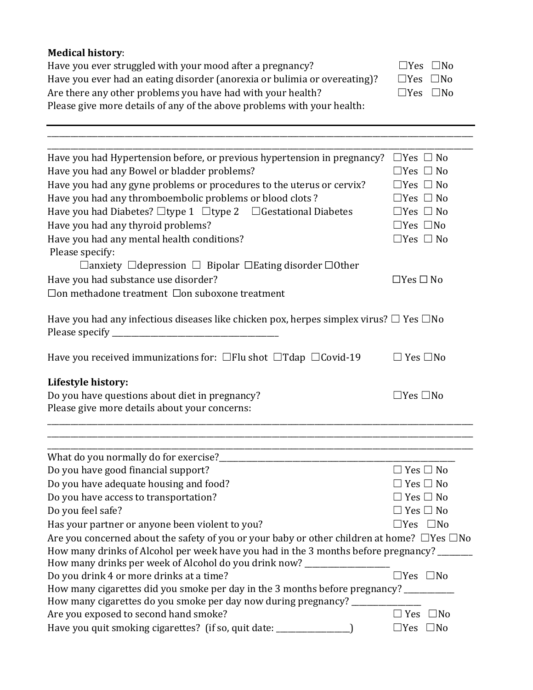| <b>Medical history:</b>                                                                                |                            |
|--------------------------------------------------------------------------------------------------------|----------------------------|
| Have you ever struggled with your mood after a pregnancy?                                              | $\Box$ Yes $\Box$ No       |
| Have you ever had an eating disorder (anorexia or bulimia or overeating)?                              | $\Box$ Yes<br>$\square$ No |
| Are there any other problems you have had with your health?                                            | $\Box$ Yes $\Box$ No       |
| Please give more details of any of the above problems with your health:                                |                            |
|                                                                                                        |                            |
|                                                                                                        |                            |
| Have you had Hypertension before, or previous hypertension in pregnancy?                               | $\Box$ Yes $\Box$ No       |
| Have you had any Bowel or bladder problems?                                                            | $\Box$ Yes $\Box$ No       |
| Have you had any gyne problems or procedures to the uterus or cervix?                                  | $\Box$ Yes $\Box$ No       |
| Have you had any thromboembolic problems or blood clots?                                               | $\Box$ Yes $\Box$ No       |
| Have you had Diabetes? □type 1 □type 2 □ Gestational Diabetes                                          | $\Box$ Yes $\Box$ No       |
| Have you had any thyroid problems?                                                                     | $\Box$ Yes $\Box$ No       |
| Have you had any mental health conditions?                                                             | $\Box$ Yes $\Box$ No       |
| Please specify:                                                                                        |                            |
| $\Box$ anxiety $\Box$ depression $\Box$ Bipolar $\Box$ Eating disorder $\Box$ Other                    |                            |
| Have you had substance use disorder?                                                                   | $\Box$ Yes $\Box$ No       |
| □ on methadone treatment □ on suboxone treatment                                                       |                            |
|                                                                                                        |                            |
| Have you had any infectious diseases like chicken pox, herpes simplex virus? $\Box$ Yes $\Box$ No      |                            |
|                                                                                                        |                            |
|                                                                                                        |                            |
| Have you received immunizations for: $\Box$ Flu shot $\Box$ Tdap $\Box$ Covid-19                       | $\square$ Yes $\square$ No |
| Lifestyle history:                                                                                     |                            |
| Do you have questions about diet in pregnancy?                                                         | $\Box$ Yes $\Box$ No       |
| Please give more details about your concerns:                                                          |                            |
|                                                                                                        |                            |
|                                                                                                        |                            |
| Do you have good financial support?                                                                    | $\Box$ Yes $\Box$ No       |
| Do you have adequate housing and food?                                                                 | $\square$ Yes $\square$ No |
| Do you have access to transportation?                                                                  | $\Box$ Yes $\Box$ No       |
| Do you feel safe?                                                                                      | $\square$ Yes $\square$ No |
| Has your partner or anyone been violent to you?                                                        | $\Box$ Yes $\Box$ No       |
| Are you concerned about the safety of you or your baby or other children at home? $\Box$ Yes $\Box$ No |                            |
| How many drinks of Alcohol per week have you had in the 3 months before pregnancy? ______              |                            |
| How many drinks per week of Alcohol do you drink now? ___________________                              |                            |
| Do you drink 4 or more drinks at a time?                                                               | $\Box$ Yes $\Box$ No       |
| How many cigarettes did you smoke per day in the 3 months before pregnancy? _________                  |                            |
| How many cigarettes do you smoke per day now during pregnancy? _______                                 |                            |
| Are you exposed to second hand smoke?                                                                  | $\Box$ Yes $\Box$ No       |
| Have you quit smoking cigarettes? (if so, quit date: ____________________________                      | $\Box$ Yes $\Box$ No       |
|                                                                                                        |                            |